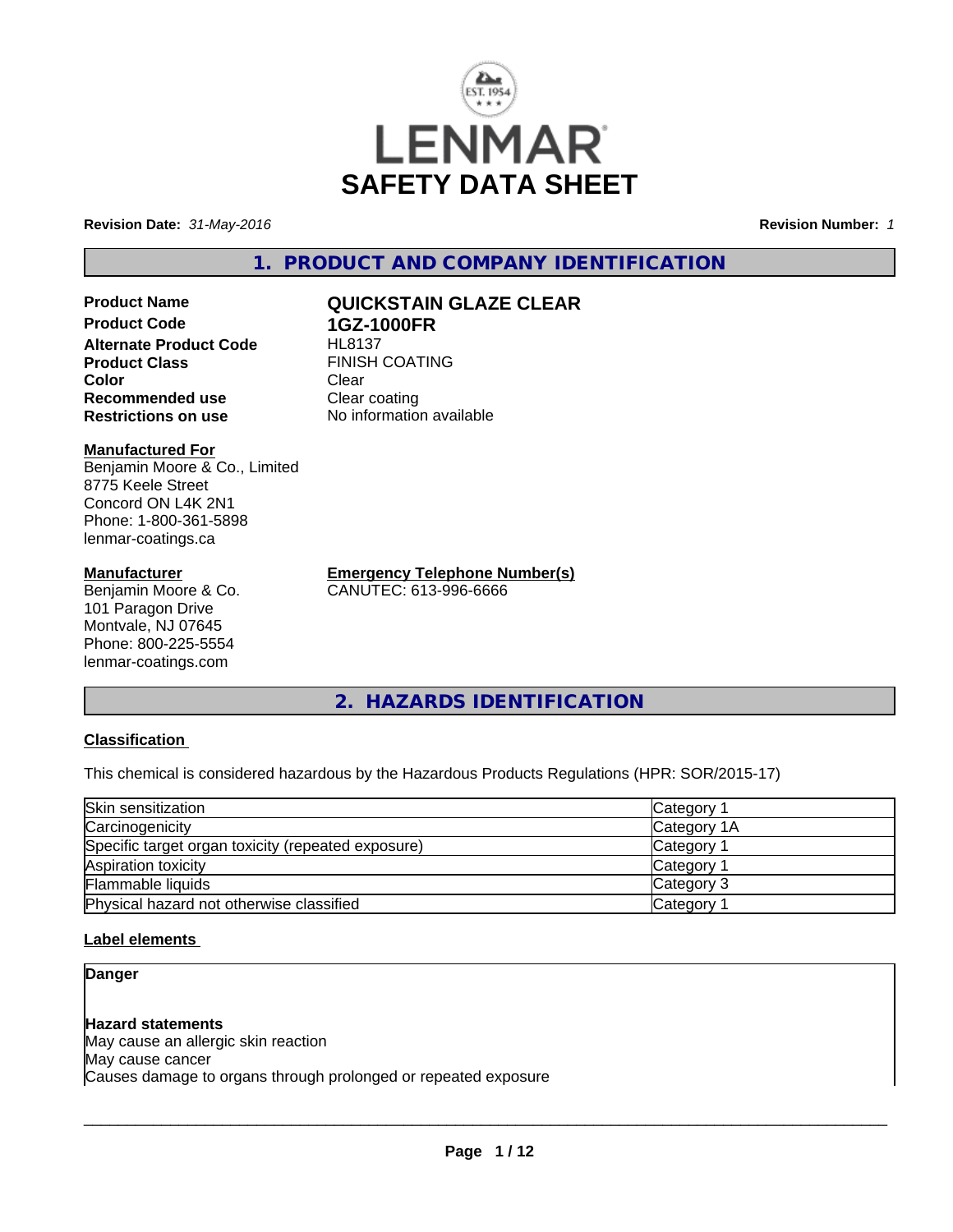

**Revision Date:** *31-May-2016* **Revision Number:** *1*

**1. PRODUCT AND COMPANY IDENTIFICATION**

**Product Name QUICKSTAIN GLAZE CLEAR Product Code 1GZ-1000FR Alternate Product Code** HL8137 **Product Class** FINISH COATING<br> **Color** Clear **Color** Clear Clear **Recommended use** Clear coating **Restrictions on use** No information available

#### **Manufactured For**

Benjamin Moore & Co., Limited 8775 Keele Street Concord ON L4K 2N1 Phone: 1-800-361-5898 lenmar-coatings.ca

#### **Manufacturer**

Benjamin Moore & Co. 101 Paragon Drive Montvale, NJ 07645 Phone: 800-225-5554 lenmar-coatings.com

**Emergency Telephone Number(s)** CANUTEC: 613-996-6666

**2. HAZARDS IDENTIFICATION**

## **Classification**

This chemical is considered hazardous by the Hazardous Products Regulations (HPR: SOR/2015-17)

| Skin sensitization                                 | Category <sup>2</sup> |
|----------------------------------------------------|-----------------------|
| Carcinogenicity                                    | Category 1A           |
| Specific target organ toxicity (repeated exposure) | Category <sup>2</sup> |
| Aspiration toxicity                                | Category 1            |
| Flammable liquids                                  | Category 3            |
| Physical hazard not otherwise classified           | Category 1            |

#### **Label elements**

**Danger**

#### **Hazard statements**

May cause an allergic skin reaction May cause cancer Causes damage to organs through prolonged or repeated exposure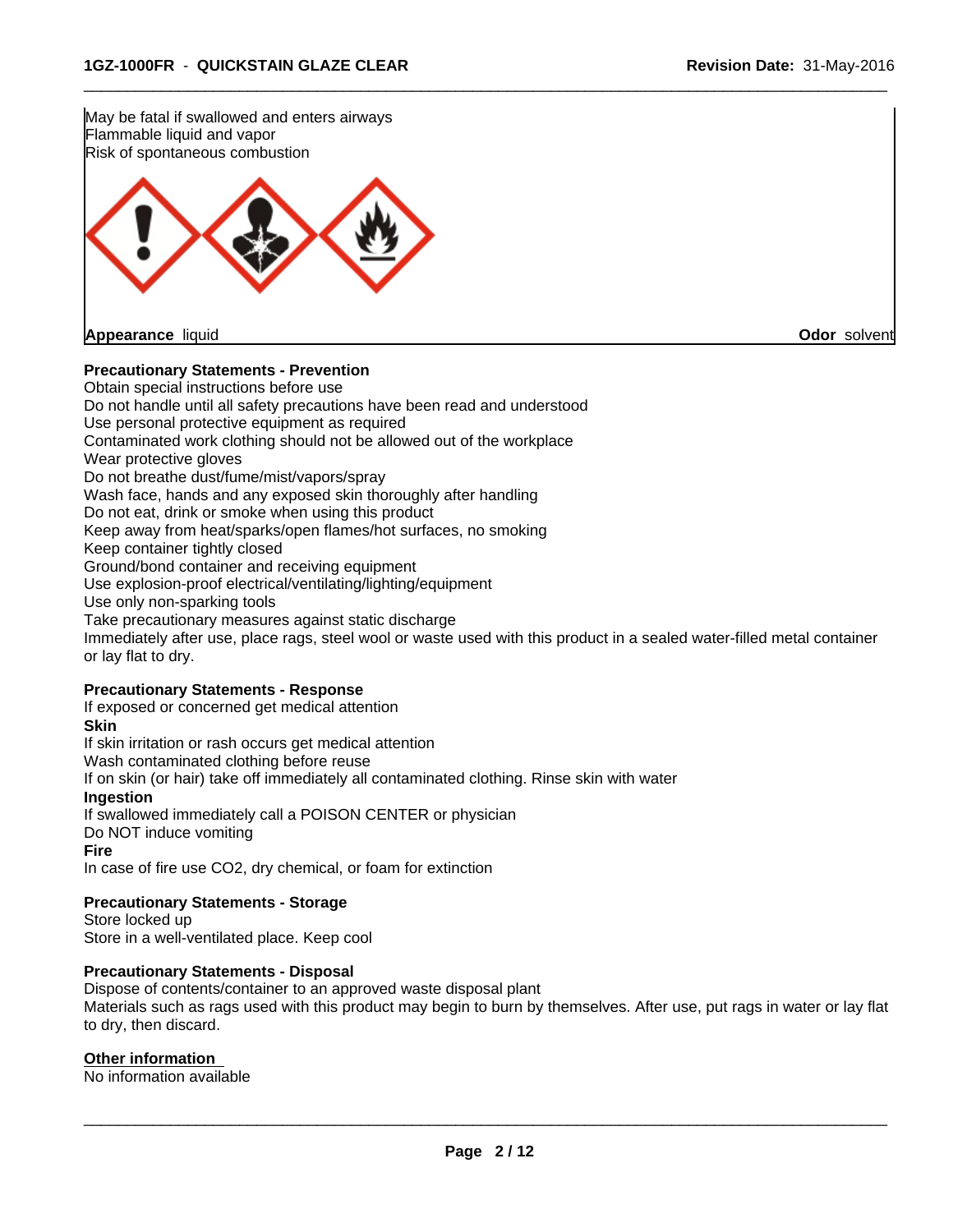

 $\overline{\phantom{a}}$  ,  $\overline{\phantom{a}}$  ,  $\overline{\phantom{a}}$  ,  $\overline{\phantom{a}}$  ,  $\overline{\phantom{a}}$  ,  $\overline{\phantom{a}}$  ,  $\overline{\phantom{a}}$  ,  $\overline{\phantom{a}}$  ,  $\overline{\phantom{a}}$  ,  $\overline{\phantom{a}}$  ,  $\overline{\phantom{a}}$  ,  $\overline{\phantom{a}}$  ,  $\overline{\phantom{a}}$  ,  $\overline{\phantom{a}}$  ,  $\overline{\phantom{a}}$  ,  $\overline{\phantom{a}}$ 

#### **Precautionary Statements - Prevention**

Obtain special instructions before use Do not handle until all safety precautions have been read and understood Use personal protective equipment as required Contaminated work clothing should not be allowed out of the workplace Wear protective gloves Do not breathe dust/fume/mist/vapors/spray Wash face, hands and any exposed skin thoroughly after handling Do not eat, drink or smoke when using this product Keep away from heat/sparks/open flames/hot surfaces, no smoking Keep container tightly closed Ground/bond container and receiving equipment Use explosion-proof electrical/ventilating/lighting/equipment Use only non-sparking tools Take precautionary measures against static discharge Immediately after use, place rags, steel wool or waste used with this product in a sealed water-filled metal container or lay flat to dry.

#### **Precautionary Statements - Response**

If exposed or concerned get medical attention

# **Skin**

If skin irritation or rash occurs get medical attention Wash contaminated clothing before reuse If on skin (or hair) take off immediately all contaminated clothing. Rinse skin with water **Ingestion** If swallowed immediately call a POISON CENTER or physician Do NOT induce vomiting

# **Fire**

In case of fire use CO2, dry chemical, or foam for extinction

#### **Precautionary Statements - Storage**

Store locked up Store in a well-ventilated place. Keep cool

#### **Precautionary Statements - Disposal**

Dispose of contents/container to an approved waste disposal plant Materials such as rags used with this product may begin to burn by themselves. After use, put rags in water or lay flat to dry, then discard.

#### **Other information**

No information available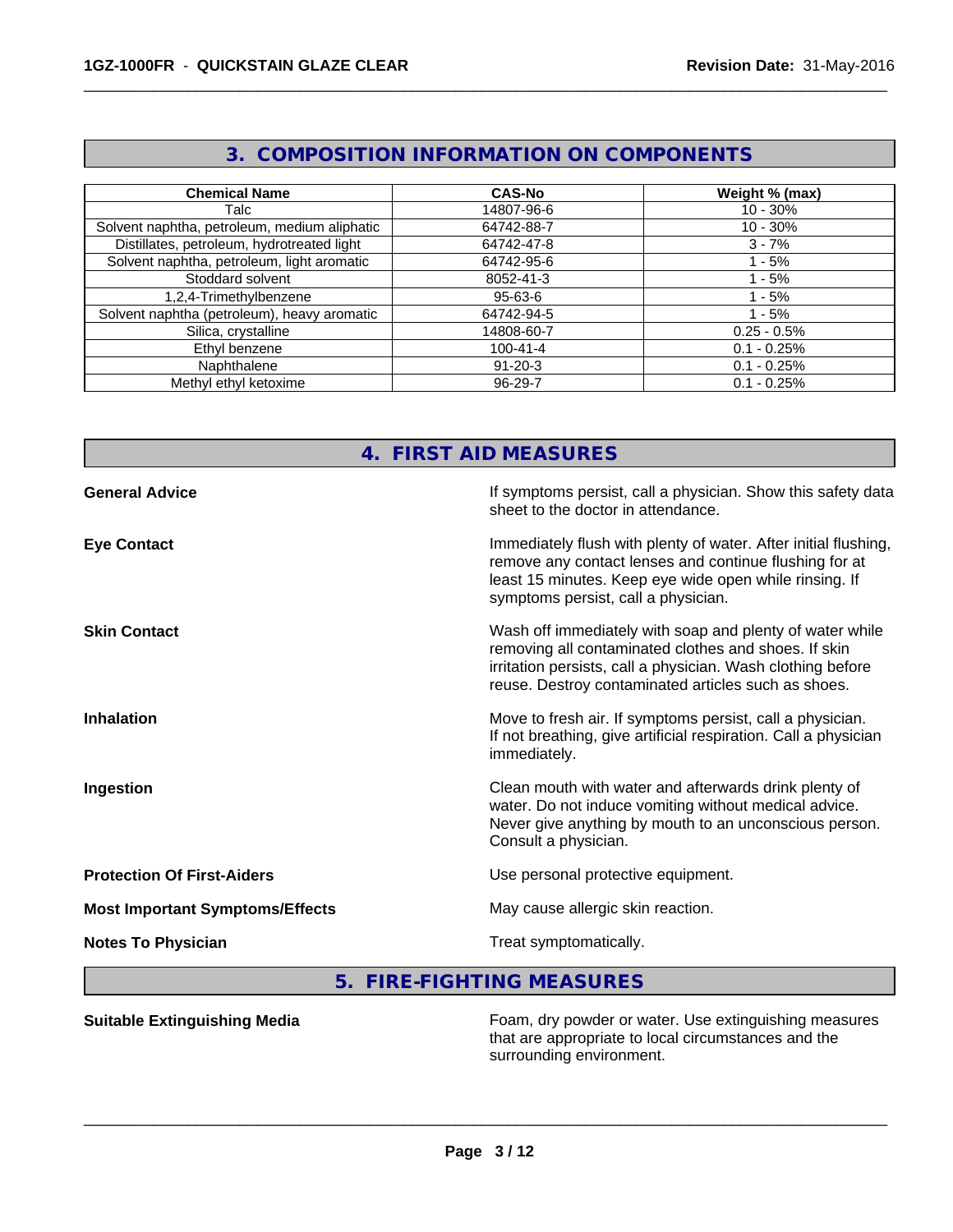|                                              | U. OONII OUTTON INI UNIIN ITON ON OONII UNENTU |                |
|----------------------------------------------|------------------------------------------------|----------------|
|                                              |                                                |                |
| <b>Chemical Name</b>                         | <b>CAS-No</b>                                  | Weight % (max) |
| Talc                                         | 14807-96-6                                     | $10 - 30%$     |
| Solvent naphtha, petroleum, medium aliphatic | 64742-88-7                                     | $10 - 30%$     |
| Distillates, petroleum, hydrotreated light   | 64742-47-8                                     | $3 - 7%$       |
| Solvent naphtha, petroleum, light aromatic   | 64742-95-6                                     | - 5%           |
| Stoddard solvent                             | 8052-41-3                                      | $-5%$          |
| 1,2,4-Trimethylbenzene                       | $95 - 63 - 6$                                  | - 5%           |
| Solvent naphtha (petroleum), heavy aromatic  | 64742-94-5                                     | - 5%           |
| Silica, crystalline                          | 14808-60-7                                     | $0.25 - 0.5\%$ |
| Ethyl benzene                                | $100 - 41 - 4$                                 | $0.1 - 0.25%$  |
| Naphthalene                                  | $91 - 20 - 3$                                  | $0.1 - 0.25%$  |
| Methyl ethyl ketoxime                        | 96-29-7                                        | $0.1 - 0.25%$  |

# **3. COMPOSITION INFORMATION ON COMPONENTS**

 $\overline{\phantom{a}}$  ,  $\overline{\phantom{a}}$  ,  $\overline{\phantom{a}}$  ,  $\overline{\phantom{a}}$  ,  $\overline{\phantom{a}}$  ,  $\overline{\phantom{a}}$  ,  $\overline{\phantom{a}}$  ,  $\overline{\phantom{a}}$  ,  $\overline{\phantom{a}}$  ,  $\overline{\phantom{a}}$  ,  $\overline{\phantom{a}}$  ,  $\overline{\phantom{a}}$  ,  $\overline{\phantom{a}}$  ,  $\overline{\phantom{a}}$  ,  $\overline{\phantom{a}}$  ,  $\overline{\phantom{a}}$ 

# **4. FIRST AID MEASURES**

| <b>General Advice</b>                  | If symptoms persist, call a physician. Show this safety data<br>sheet to the doctor in attendance.                                                                                                                                     |
|----------------------------------------|----------------------------------------------------------------------------------------------------------------------------------------------------------------------------------------------------------------------------------------|
| <b>Eye Contact</b>                     | Immediately flush with plenty of water. After initial flushing,<br>remove any contact lenses and continue flushing for at<br>least 15 minutes. Keep eye wide open while rinsing. If<br>symptoms persist, call a physician.             |
| <b>Skin Contact</b>                    | Wash off immediately with soap and plenty of water while<br>removing all contaminated clothes and shoes. If skin<br>irritation persists, call a physician. Wash clothing before<br>reuse. Destroy contaminated articles such as shoes. |
| <b>Inhalation</b>                      | Move to fresh air. If symptoms persist, call a physician.<br>If not breathing, give artificial respiration. Call a physician<br>immediately.                                                                                           |
| Ingestion                              | Clean mouth with water and afterwards drink plenty of<br>water. Do not induce vomiting without medical advice.<br>Never give anything by mouth to an unconscious person.<br>Consult a physician.                                       |
| <b>Protection Of First-Aiders</b>      | Use personal protective equipment.                                                                                                                                                                                                     |
| <b>Most Important Symptoms/Effects</b> | May cause allergic skin reaction.                                                                                                                                                                                                      |
| <b>Notes To Physician</b>              | Treat symptomatically.                                                                                                                                                                                                                 |
|                                        |                                                                                                                                                                                                                                        |

# **5. FIRE-FIGHTING MEASURES**

**Suitable Extinguishing Media** Foam, dry powder or water. Use extinguishing measures that are appropriate to local circumstances and the surrounding environment.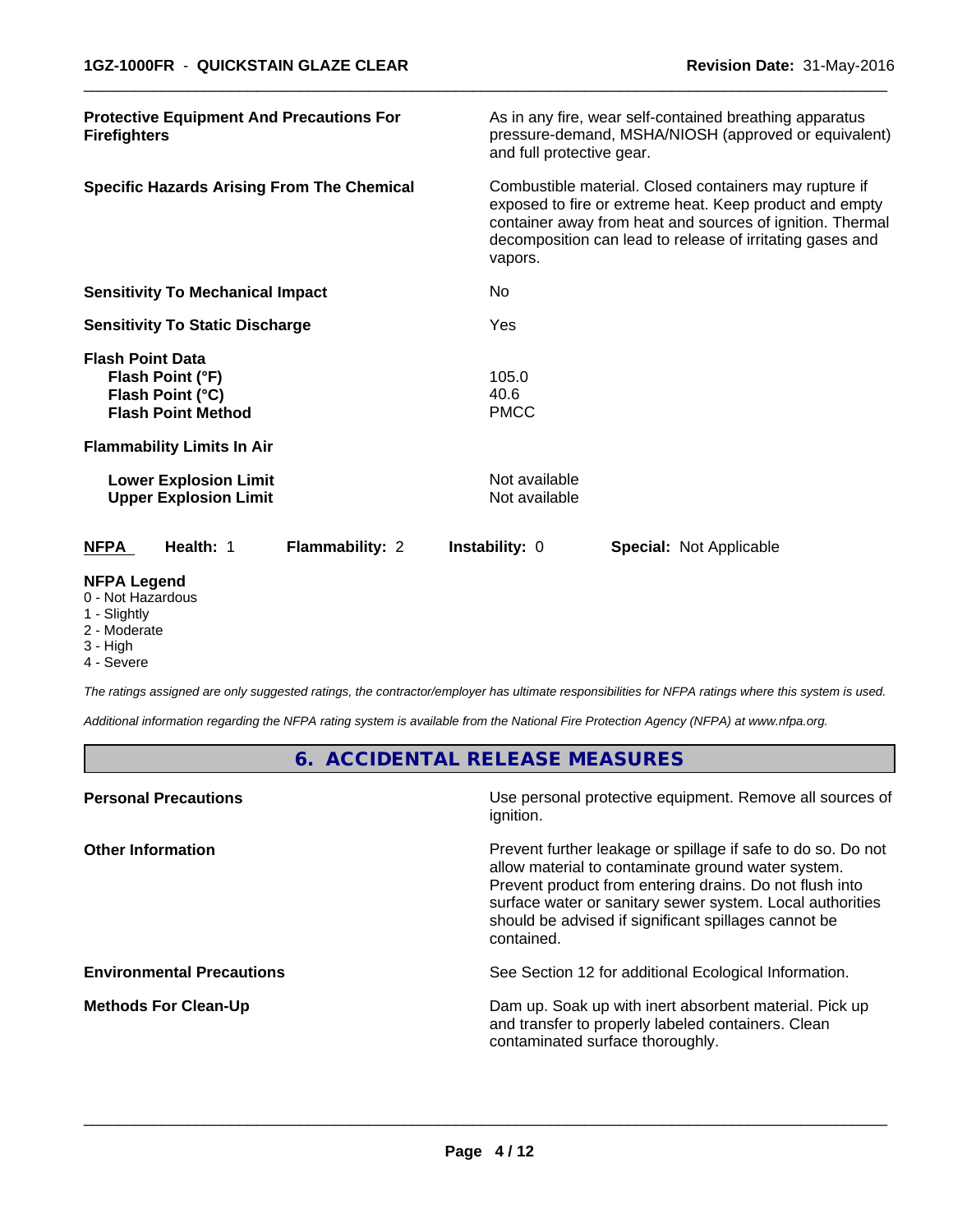| <b>Protective Equipment And Precautions For</b><br><b>Firefighters</b>                       | As in any fire, wear self-contained breathing apparatus<br>pressure-demand, MSHA/NIOSH (approved or equivalent)<br>and full protective gear.                                                                                                           |  |  |  |
|----------------------------------------------------------------------------------------------|--------------------------------------------------------------------------------------------------------------------------------------------------------------------------------------------------------------------------------------------------------|--|--|--|
| <b>Specific Hazards Arising From The Chemical</b>                                            | Combustible material. Closed containers may rupture if<br>exposed to fire or extreme heat. Keep product and empty<br>container away from heat and sources of ignition. Thermal<br>decomposition can lead to release of irritating gases and<br>vapors. |  |  |  |
| <b>Sensitivity To Mechanical Impact</b>                                                      | No.                                                                                                                                                                                                                                                    |  |  |  |
| <b>Sensitivity To Static Discharge</b>                                                       | Yes                                                                                                                                                                                                                                                    |  |  |  |
| <b>Flash Point Data</b><br>Flash Point (°F)<br>Flash Point (°C)<br><b>Flash Point Method</b> | 105.0<br>40.6<br><b>PMCC</b>                                                                                                                                                                                                                           |  |  |  |
| <b>Flammability Limits In Air</b>                                                            |                                                                                                                                                                                                                                                        |  |  |  |
| <b>Lower Explosion Limit</b><br><b>Upper Explosion Limit</b>                                 | Not available<br>Not available                                                                                                                                                                                                                         |  |  |  |
| <b>NFPA</b><br>Health: 1<br><b>Flammability: 2</b>                                           | <b>Instability: 0</b><br><b>Special: Not Applicable</b>                                                                                                                                                                                                |  |  |  |
| <b>NFPA Legend</b><br>0 Not Hozordoug                                                        |                                                                                                                                                                                                                                                        |  |  |  |

 $\overline{\phantom{a}}$  ,  $\overline{\phantom{a}}$  ,  $\overline{\phantom{a}}$  ,  $\overline{\phantom{a}}$  ,  $\overline{\phantom{a}}$  ,  $\overline{\phantom{a}}$  ,  $\overline{\phantom{a}}$  ,  $\overline{\phantom{a}}$  ,  $\overline{\phantom{a}}$  ,  $\overline{\phantom{a}}$  ,  $\overline{\phantom{a}}$  ,  $\overline{\phantom{a}}$  ,  $\overline{\phantom{a}}$  ,  $\overline{\phantom{a}}$  ,  $\overline{\phantom{a}}$  ,  $\overline{\phantom{a}}$ 

- 0 Not Hazardous
- 1 Slightly
- 2 Moderate
- 3 High
- 4 Severe

*The ratings assigned are only suggested ratings, the contractor/employer has ultimate responsibilities for NFPA ratings where this system is used.*

*Additional information regarding the NFPA rating system is available from the National Fire Protection Agency (NFPA) at www.nfpa.org.*

# **6. ACCIDENTAL RELEASE MEASURES**

| Use personal protective equipment. Remove all sources of<br>ignition.                                                                                                                                                                                                                                            |
|------------------------------------------------------------------------------------------------------------------------------------------------------------------------------------------------------------------------------------------------------------------------------------------------------------------|
| Prevent further leakage or spillage if safe to do so. Do not<br>allow material to contaminate ground water system.<br>Prevent product from entering drains. Do not flush into<br>surface water or sanitary sewer system. Local authorities<br>should be advised if significant spillages cannot be<br>contained. |
| See Section 12 for additional Ecological Information.                                                                                                                                                                                                                                                            |
| Dam up. Soak up with inert absorbent material. Pick up<br>and transfer to properly labeled containers. Clean<br>contaminated surface thoroughly.                                                                                                                                                                 |
|                                                                                                                                                                                                                                                                                                                  |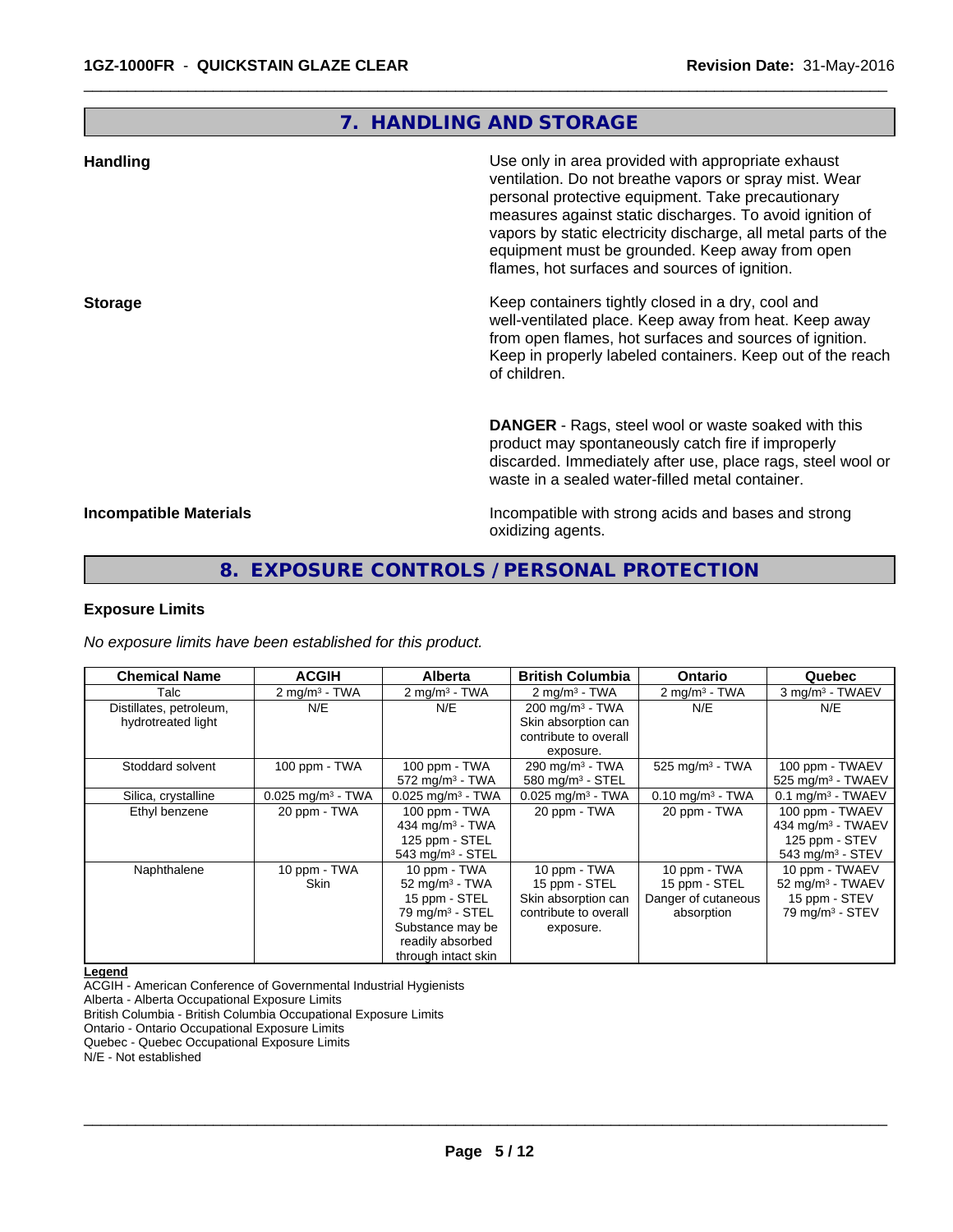# **7. HANDLING AND STORAGE**

 $\overline{\phantom{a}}$  ,  $\overline{\phantom{a}}$  ,  $\overline{\phantom{a}}$  ,  $\overline{\phantom{a}}$  ,  $\overline{\phantom{a}}$  ,  $\overline{\phantom{a}}$  ,  $\overline{\phantom{a}}$  ,  $\overline{\phantom{a}}$  ,  $\overline{\phantom{a}}$  ,  $\overline{\phantom{a}}$  ,  $\overline{\phantom{a}}$  ,  $\overline{\phantom{a}}$  ,  $\overline{\phantom{a}}$  ,  $\overline{\phantom{a}}$  ,  $\overline{\phantom{a}}$  ,  $\overline{\phantom{a}}$ 

| <b>Handling</b>               | Use only in area provided with appropriate exhaust<br>ventilation. Do not breathe vapors or spray mist. Wear<br>personal protective equipment. Take precautionary<br>measures against static discharges. To avoid ignition of<br>vapors by static electricity discharge, all metal parts of the<br>equipment must be grounded. Keep away from open<br>flames, hot surfaces and sources of ignition. |
|-------------------------------|-----------------------------------------------------------------------------------------------------------------------------------------------------------------------------------------------------------------------------------------------------------------------------------------------------------------------------------------------------------------------------------------------------|
| <b>Storage</b>                | Keep containers tightly closed in a dry, cool and<br>well-ventilated place. Keep away from heat. Keep away<br>from open flames, hot surfaces and sources of ignition.<br>Keep in properly labeled containers. Keep out of the reach<br>of children.                                                                                                                                                 |
|                               | <b>DANGER</b> - Rags, steel wool or waste soaked with this<br>product may spontaneously catch fire if improperly<br>discarded. Immediately after use, place rags, steel wool or<br>waste in a sealed water-filled metal container.                                                                                                                                                                  |
| <b>Incompatible Materials</b> | Incompatible with strong acids and bases and strong<br>oxidizing agents.                                                                                                                                                                                                                                                                                                                            |

# **8. EXPOSURE CONTROLS / PERSONAL PROTECTION**

#### **Exposure Limits**

*No exposure limits have been established for this product.*

| <b>Chemical Name</b>    | <b>ACGIH</b>                    | <b>Alberta</b>                  | <b>British Columbia</b>         | <b>Ontario</b>                 | Quebec                        |
|-------------------------|---------------------------------|---------------------------------|---------------------------------|--------------------------------|-------------------------------|
| Talc                    | $2$ mg/m <sup>3</sup> - TWA     | $2 \text{ mg/m}^3$ - TWA        | $2 \text{ mg/m}^3$ - TWA        | $2 \text{ mg/m}^3$ - TWA       | 3 mg/m <sup>3</sup> - TWAEV   |
| Distillates, petroleum, | N/E                             | N/E                             | $200 \text{ mg/m}^3$ - TWA      | N/E                            | N/E                           |
| hydrotreated light      |                                 |                                 | Skin absorption can             |                                |                               |
|                         |                                 |                                 | contribute to overall           |                                |                               |
|                         |                                 |                                 | exposure.                       |                                |                               |
| Stoddard solvent        | 100 ppm - TWA                   | 100 ppm - TWA                   | 290 mg/m <sup>3</sup> - TWA     | 525 mg/m $3$ - TWA             | 100 ppm - TWAEV               |
|                         |                                 | $572$ mg/m <sup>3</sup> - TWA   | 580 mg/m <sup>3</sup> - STEL    |                                | 525 mg/m <sup>3</sup> - TWAEV |
| Silica, crystalline     | $0.025$ mg/m <sup>3</sup> - TWA | $0.025$ mg/m <sup>3</sup> - TWA | $0.025$ mg/m <sup>3</sup> - TWA | $0.10$ mg/m <sup>3</sup> - TWA | $0.1 \text{ mg/m}^3$ - TWAEV  |
| Ethyl benzene           | 20 ppm - TWA                    | 100 ppm - TWA                   | 20 ppm - TWA                    | 20 ppm - TWA                   | 100 ppm - TWAEV               |
|                         |                                 | 434 mg/m $3$ - TWA              |                                 |                                | 434 mg/m $3$ - TWAEV          |
|                         |                                 | 125 ppm - STEL                  |                                 |                                | 125 ppm - STEV                |
|                         |                                 | 543 mg/m $3 -$ STEL             |                                 |                                | 543 mg/m <sup>3</sup> - STEV  |
| Naphthalene             | 10 ppm - TWA                    | 10 ppm - TWA                    | 10 ppm - TWA                    | 10 ppm - TWA                   | 10 ppm - TWAEV                |
|                         | <b>Skin</b>                     | 52 mg/m $3$ - TWA               | 15 ppm - STEL                   | 15 ppm - STEL                  | 52 mg/m <sup>3</sup> - TWAEV  |
|                         |                                 | 15 ppm - STEL                   | Skin absorption can             | Danger of cutaneous            | 15 ppm - STEV                 |
|                         |                                 | $79$ mg/m $3 -$ STEL            | contribute to overall           | absorption                     | $79$ mg/m <sup>3</sup> - STEV |
|                         |                                 | Substance may be                | exposure.                       |                                |                               |
|                         |                                 | readily absorbed                |                                 |                                |                               |
|                         |                                 | through intact skin             |                                 |                                |                               |

#### **Legend**

ACGIH - American Conference of Governmental Industrial Hygienists

Alberta - Alberta Occupational Exposure Limits

British Columbia - British Columbia Occupational Exposure Limits

Ontario - Ontario Occupational Exposure Limits

Quebec - Quebec Occupational Exposure Limits

N/E - Not established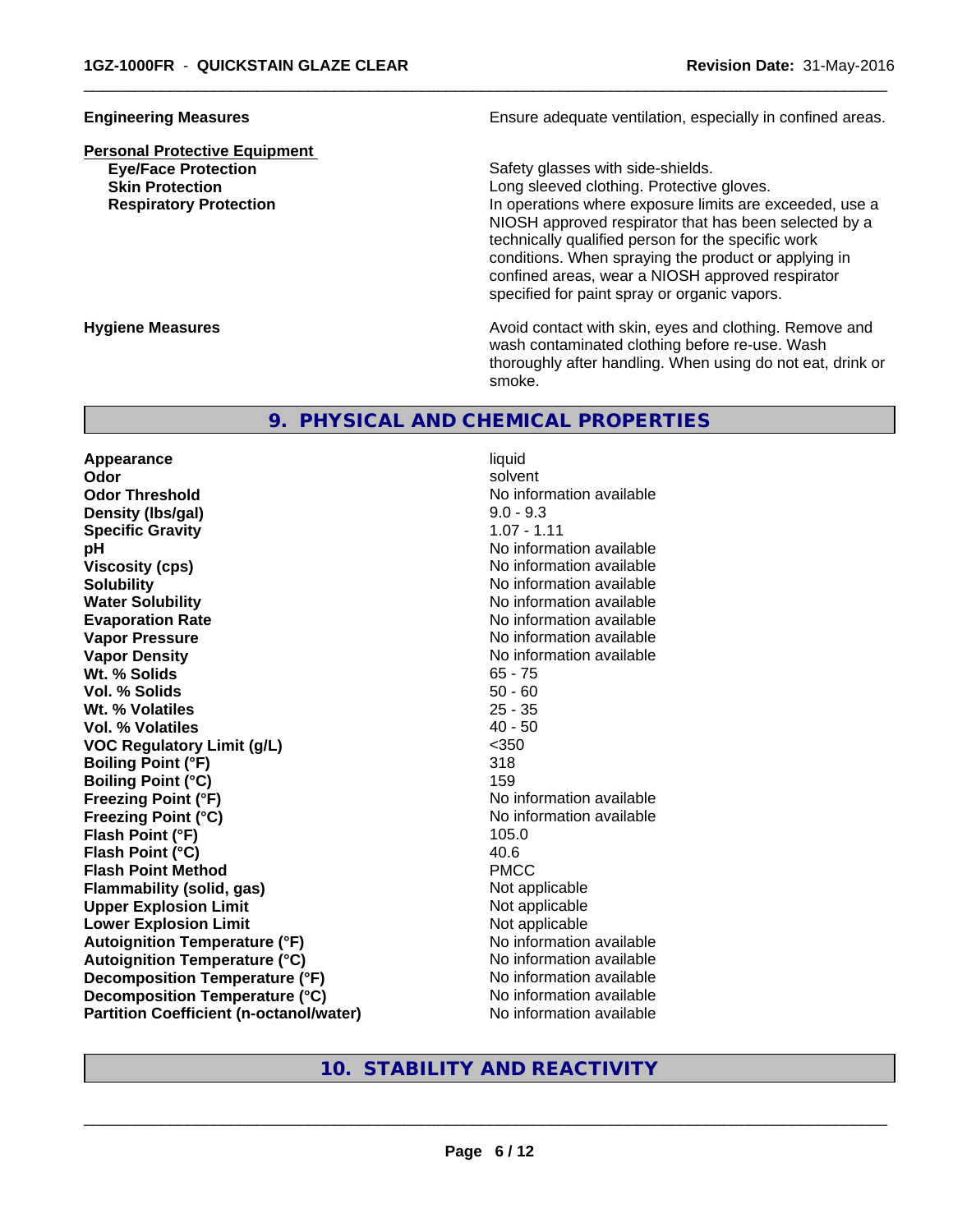# **Personal Protective Equipment**

**Engineering Measures Ensure adequate ventilation, especially in confined areas.** 

**Eye/Face Protection** Safety glasses with side-shields.

 $\overline{\phantom{a}}$  ,  $\overline{\phantom{a}}$  ,  $\overline{\phantom{a}}$  ,  $\overline{\phantom{a}}$  ,  $\overline{\phantom{a}}$  ,  $\overline{\phantom{a}}$  ,  $\overline{\phantom{a}}$  ,  $\overline{\phantom{a}}$  ,  $\overline{\phantom{a}}$  ,  $\overline{\phantom{a}}$  ,  $\overline{\phantom{a}}$  ,  $\overline{\phantom{a}}$  ,  $\overline{\phantom{a}}$  ,  $\overline{\phantom{a}}$  ,  $\overline{\phantom{a}}$  ,  $\overline{\phantom{a}}$ 

**Skin Protection Skin Protection Skin Protective gloves.** Long sleeved clothing. Protective gloves. **Respiratory Protection In operations where exposure limits are exceeded, use a** NIOSH approved respirator that has been selected by a technically qualified person for the specific work conditions. When spraying the product or applying in confined areas, wear a NIOSH approved respirator specified for paint spray or organic vapors.

**Hygiene Measures Avoid contact with skin, eyes and clothing. Remove and Avoid contact with skin, eyes and clothing. Remove and Avoid contact with skin, eyes and clothing. Remove and** wash contaminated clothing before re-use. Wash thoroughly after handling. When using do not eat, drink or smoke.

# **9. PHYSICAL AND CHEMICAL PROPERTIES**

**Appearance** liquid **Odor** solvent **Odor Threshold No information available** No information available **Density (lbs/gal)** 9.0 - 9.3 **Specific Gravity** 1.07 - 1.11 **pH** No information available **Viscosity (cps)** No information available Notice 1, 1999 **Solubility Note 2008 Note 2008 Note 2008 Note 2008 Note 2008 Note 2008 Note 2008 Note 2009 Note 2009 Note 2009 Note 2009 Note 2009 Note 2009 Note 2009 Note 2009 Note 2009 Note 2009 Note Water Solubility** No information available **Evaporation Rate No information available No information available Vapor Pressure** No information available **Vapor Density No information available No information available Wt. % Solids** 65 - 75 **Vol. % Solids** 50 - 60 **Wt. % Volatiles** 25 - 35 **Vol. % Volatiles** 40 - 50 **VOC Regulatory Limit (g/L)** <350 **Boiling Point (°F)** 318 **Boiling Point (°C)** 159 **Freezing Point (°F)** No information available **Freezing Point (°C)** The state of the Mondo No information available **Flash Point (°F)** 105.0 **Flash Point (°C)** 40.6 **Flash Point Method** PMCC **Flammability (solid, gas)** Not applicable **Upper Explosion Limit** Not applicable **Lower Explosion Limit**<br> **Autoignition Temperature (°F)** Not applicable Not applicable **Autoignition Temperature (°F)**<br> **Autoignition Temperature (°C)** No information available **Autoignition Temperature (°C) Decomposition Temperature (°F)** No information available **Decomposition Temperature (°C)** No information available **Partition Coefficient (n-octanol/water)** No information available

# **10. STABILITY AND REACTIVITY**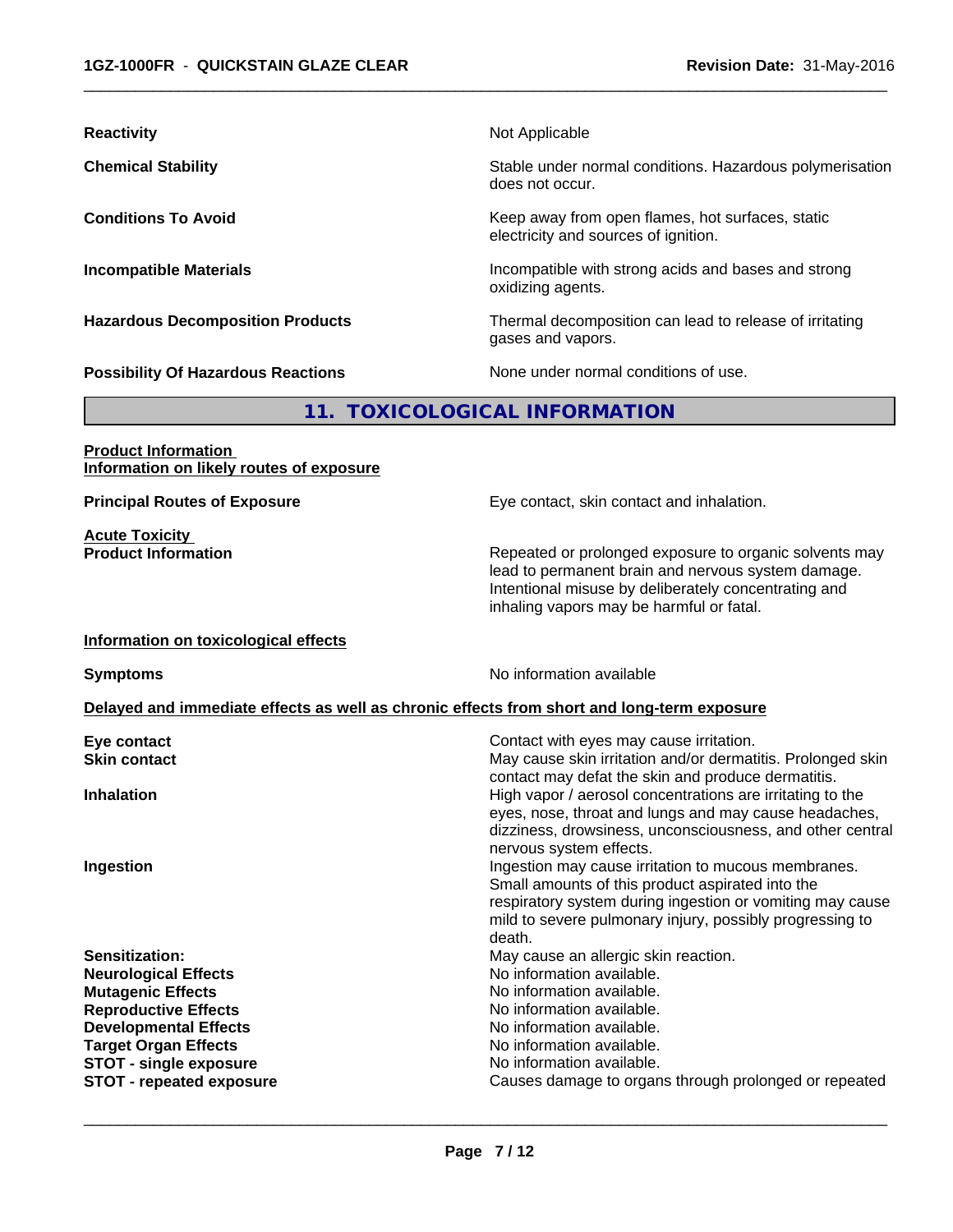| <b>Reactivity</b>                                                      | Not Applicable                                                                                                                                                                                                   |
|------------------------------------------------------------------------|------------------------------------------------------------------------------------------------------------------------------------------------------------------------------------------------------------------|
| <b>Chemical Stability</b>                                              | Stable under normal conditions. Hazardous polymerisation<br>does not occur.                                                                                                                                      |
| <b>Conditions To Avoid</b>                                             | Keep away from open flames, hot surfaces, static<br>electricity and sources of ignition.                                                                                                                         |
| <b>Incompatible Materials</b>                                          | Incompatible with strong acids and bases and strong<br>oxidizing agents.                                                                                                                                         |
| <b>Hazardous Decomposition Products</b>                                | Thermal decomposition can lead to release of irritating<br>gases and vapors.                                                                                                                                     |
| <b>Possibility Of Hazardous Reactions</b>                              | None under normal conditions of use.                                                                                                                                                                             |
|                                                                        | 11. TOXICOLOGICAL INFORMATION                                                                                                                                                                                    |
| <b>Product Information</b><br>Information on likely routes of exposure |                                                                                                                                                                                                                  |
| <b>Principal Routes of Exposure</b>                                    | Eye contact, skin contact and inhalation.                                                                                                                                                                        |
| <b>Acute Toxicity</b><br><b>Product Information</b>                    | Repeated or prolonged exposure to organic solvents may<br>lead to permanent brain and nervous system damage.<br>Intentional misuse by deliberately concentrating and<br>inhaling vapors may be harmful or fatal. |
| Information on toxicological effects                                   |                                                                                                                                                                                                                  |
| <b>Symptoms</b>                                                        | No information available                                                                                                                                                                                         |
|                                                                        | Delayed and immediate effects as well as chronic effects from short and long-term exposure                                                                                                                       |
| Eye contact<br><b>Skin contact</b>                                     | Contact with eyes may cause irritation.<br>May cause skin irritation and/or dermatitis. Prolonged skin<br>contact may defat the skin and produce dermatitis.                                                     |
| <b>Inhalation</b>                                                      | High vapor / aerosol concentrations are irritating to the<br>eyes, nose, throat and lungs and may cause headaches,<br>dizziness, drowsiness, unconsciousness, and other central                                  |

 $\overline{\phantom{a}}$  ,  $\overline{\phantom{a}}$  ,  $\overline{\phantom{a}}$  ,  $\overline{\phantom{a}}$  ,  $\overline{\phantom{a}}$  ,  $\overline{\phantom{a}}$  ,  $\overline{\phantom{a}}$  ,  $\overline{\phantom{a}}$  ,  $\overline{\phantom{a}}$  ,  $\overline{\phantom{a}}$  ,  $\overline{\phantom{a}}$  ,  $\overline{\phantom{a}}$  ,  $\overline{\phantom{a}}$  ,  $\overline{\phantom{a}}$  ,  $\overline{\phantom{a}}$  ,  $\overline{\phantom{a}}$ 

**STOT** - single exposure

dizziness, drowsiness, unconsciousness, and other central nervous system effects. **Ingestion Ingestion Ingestion Ingestion** may cause irritation to mucous membranes. Small amounts of this product aspirated into the respiratory system during ingestion or vomiting may cause mild to severe pulmonary injury, possibly progressing to death. **Sensitization: Sensitization:** May cause an allergic skin reaction. **Neurological Effects**<br> **No information available.**<br> **Mutagenic Effects**<br> **Mutagenic Effects Mutagenic Effects**<br> **Reproductive Effects**<br> **Reproductive Effects**<br> **Reproductive Effects** No information available.<br>No information available. **Developmental Effects No information available.**<br> **Target Organ Effects No information available. Target Organ Effects**<br> **STOT - single exposure**<br>
STOT - single exposure<br>
No information available.

**STOT** - **repeated exposure Causes damage to organs through prolonged or repeated**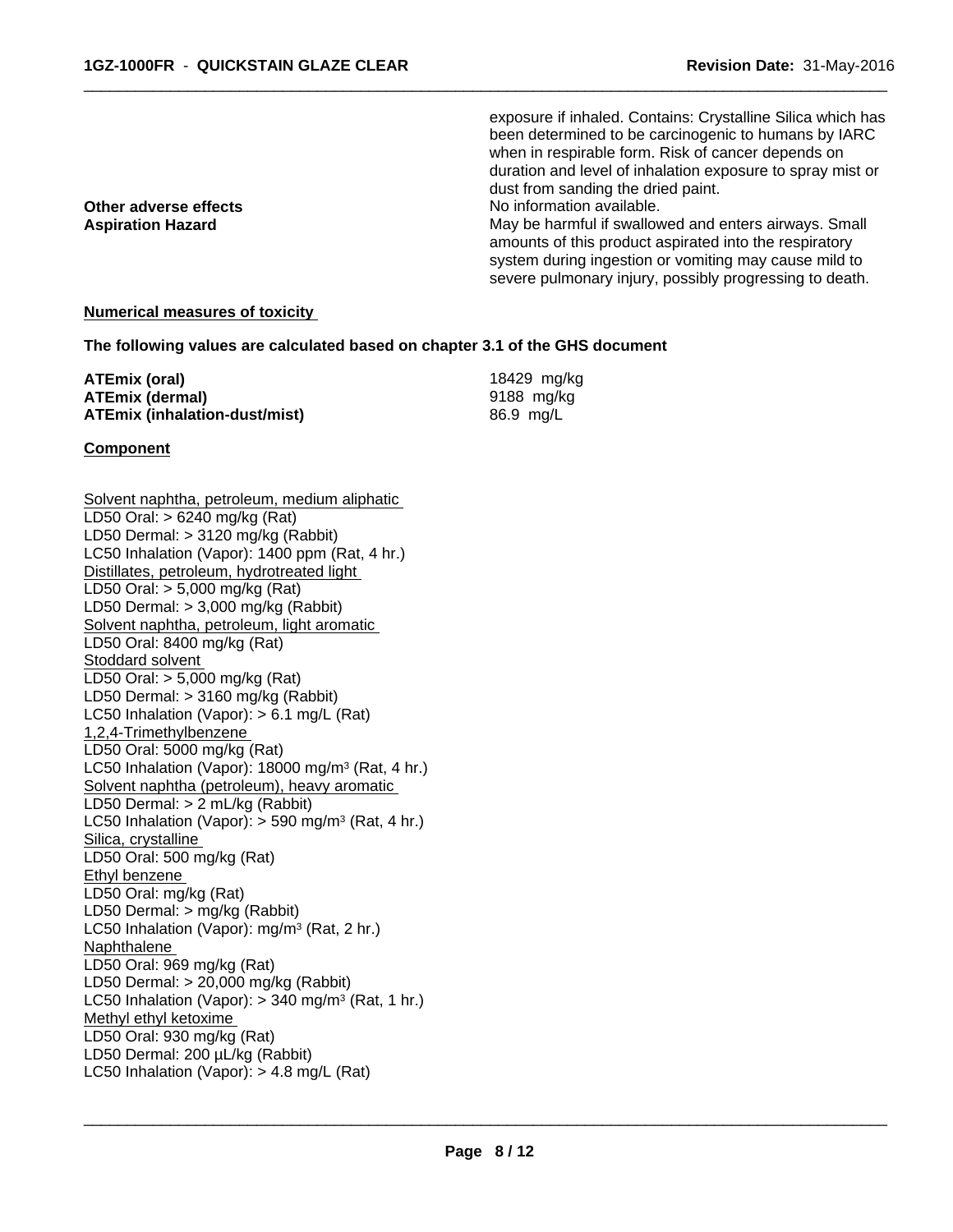**Other adverse effects**<br> **Aspiration Hazard**<br> **Aspiration Hazard**<br> **Aspiration Hazard** 

exposure if inhaled. Contains: Crystalline Silica which has been determined to be carcinogenic to humans by IARC when in respirable form. Risk of cancer depends on duration and level of inhalation exposure to spray mist or dust from sanding the dried paint.

 $\overline{\phantom{a}}$  ,  $\overline{\phantom{a}}$  ,  $\overline{\phantom{a}}$  ,  $\overline{\phantom{a}}$  ,  $\overline{\phantom{a}}$  ,  $\overline{\phantom{a}}$  ,  $\overline{\phantom{a}}$  ,  $\overline{\phantom{a}}$  ,  $\overline{\phantom{a}}$  ,  $\overline{\phantom{a}}$  ,  $\overline{\phantom{a}}$  ,  $\overline{\phantom{a}}$  ,  $\overline{\phantom{a}}$  ,  $\overline{\phantom{a}}$  ,  $\overline{\phantom{a}}$  ,  $\overline{\phantom{a}}$ 

May be harmful if swallowed and enters airways. Small amounts of this product aspirated into the respiratory system during ingestion or vomiting may cause mild to severe pulmonary injury, possibly progressing to death.

#### **Numerical measures of toxicity**

#### **The following values are calculated based on chapter 3.1 of the GHS document**

| ATEmix (oral)                 | 18429 mg/kg |
|-------------------------------|-------------|
| ATEmix (dermal)               | 9188 mg/ka  |
| ATEmix (inhalation-dust/mist) | 86.9 mg/L   |

#### **Component**

Solvent naphtha, petroleum, medium aliphatic LD50 Oral: > 6240 mg/kg (Rat) LD50 Dermal: > 3120 mg/kg (Rabbit) LC50 Inhalation (Vapor): 1400 ppm (Rat, 4 hr.) Distillates, petroleum, hydrotreated light LD50 Oral: > 5,000 mg/kg (Rat) LD50 Dermal: > 3,000 mg/kg (Rabbit) Solvent naphtha, petroleum, light aromatic LD50 Oral: 8400 mg/kg (Rat) Stoddard solvent LD50 Oral: > 5,000 mg/kg (Rat) LD50 Dermal: > 3160 mg/kg (Rabbit) LC50 Inhalation (Vapor): > 6.1 mg/L (Rat) 1,2,4-Trimethylbenzene LD50 Oral: 5000 mg/kg (Rat) LC50 Inhalation (Vapor): 18000 mg/m<sup>3</sup> (Rat, 4 hr.) Solvent naphtha (petroleum), heavy aromatic LD50 Dermal: > 2 mL/kg (Rabbit) LC50 Inhalation (Vapor): > 590 mg/m<sup>3</sup> (Rat, 4 hr.) Silica, crystalline LD50 Oral: 500 mg/kg (Rat) Ethyl benzene LD50 Oral: mg/kg (Rat) LD50 Dermal: > mg/kg (Rabbit) LC50 Inhalation (Vapor): mg/m<sup>3</sup> (Rat, 2 hr.) Naphthalene LD50 Oral: 969 mg/kg (Rat) LD50 Dermal: > 20,000 mg/kg (Rabbit) LC50 Inhalation (Vapor): > 340 mg/m<sup>3</sup> (Rat, 1 hr.) Methyl ethyl ketoxime LD50 Oral: 930 mg/kg (Rat) LD50 Dermal: 200 µL/kg (Rabbit) LC50 Inhalation (Vapor): > 4.8 mg/L (Rat)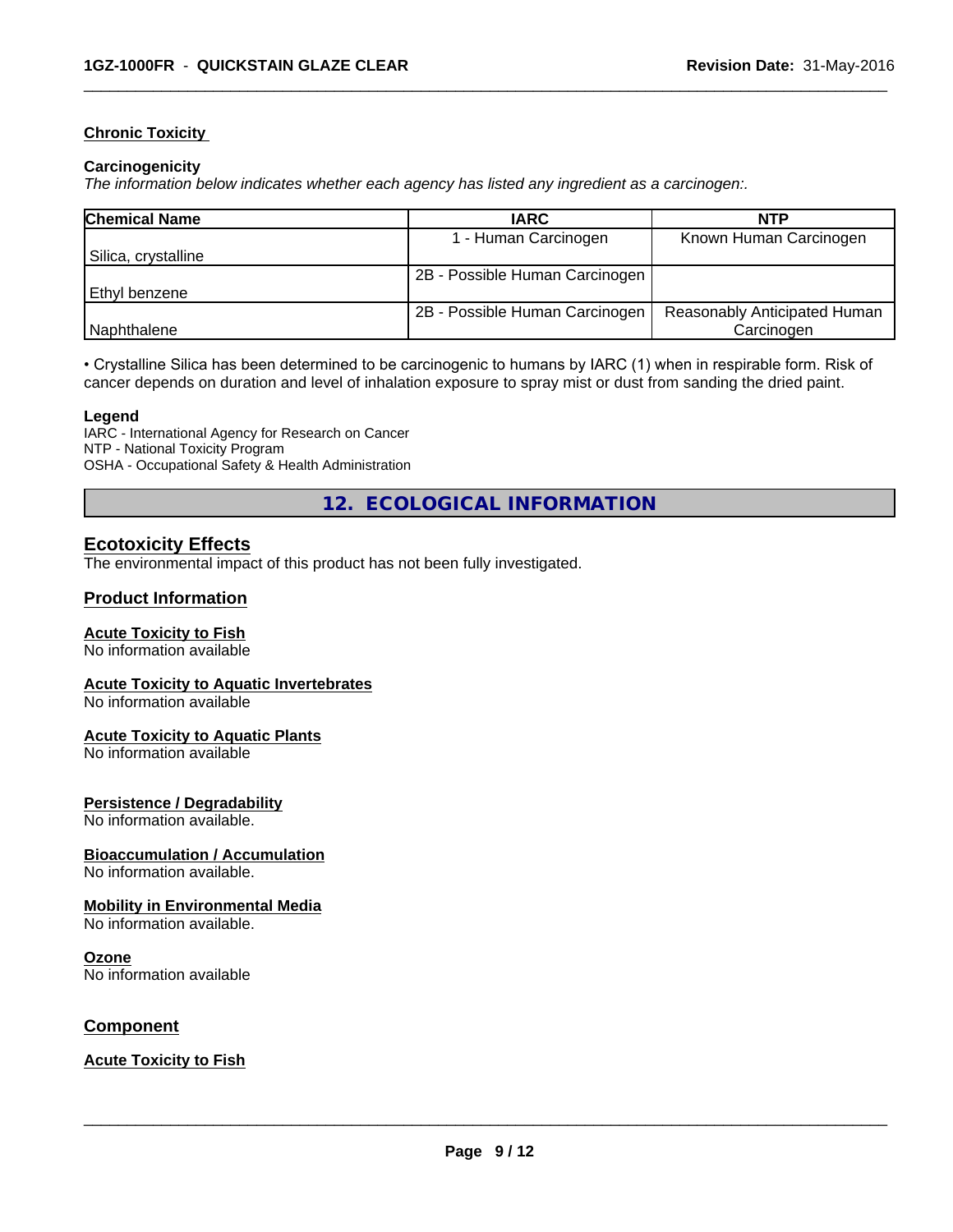#### **Chronic Toxicity**

#### **Carcinogenicity**

*The information below indicateswhether each agency has listed any ingredient as a carcinogen:.*

| <b>Chemical Name</b> | <b>IARC</b>                    | <b>NTP</b>                   |
|----------------------|--------------------------------|------------------------------|
|                      | 1 - Human Carcinogen           | Known Human Carcinogen       |
| Silica, crystalline  |                                |                              |
|                      | 2B - Possible Human Carcinogen |                              |
| Ethyl benzene        |                                |                              |
|                      | 2B - Possible Human Carcinogen | Reasonably Anticipated Human |
| Naphthalene          |                                | Carcinogen                   |

 $\overline{\phantom{a}}$  ,  $\overline{\phantom{a}}$  ,  $\overline{\phantom{a}}$  ,  $\overline{\phantom{a}}$  ,  $\overline{\phantom{a}}$  ,  $\overline{\phantom{a}}$  ,  $\overline{\phantom{a}}$  ,  $\overline{\phantom{a}}$  ,  $\overline{\phantom{a}}$  ,  $\overline{\phantom{a}}$  ,  $\overline{\phantom{a}}$  ,  $\overline{\phantom{a}}$  ,  $\overline{\phantom{a}}$  ,  $\overline{\phantom{a}}$  ,  $\overline{\phantom{a}}$  ,  $\overline{\phantom{a}}$ 

• Crystalline Silica has been determined to be carcinogenic to humans by IARC (1) when in respirable form. Risk of cancer depends on duration and level of inhalation exposure to spray mist or dust from sanding the dried paint.

#### **Legend**

IARC - International Agency for Research on Cancer NTP - National Toxicity Program OSHA - Occupational Safety & Health Administration

**12. ECOLOGICAL INFORMATION**

# **Ecotoxicity Effects**

The environmental impact of this product has not been fully investigated.

## **Product Information**

#### **Acute Toxicity to Fish**

No information available

#### **Acute Toxicity to Aquatic Invertebrates**

No information available

#### **Acute Toxicity to Aquatic Plants**

No information available

#### **Persistence / Degradability**

No information available.

#### **Bioaccumulation / Accumulation**

No information available.

#### **Mobility in Environmental Media**

No information available.

#### **Ozone**

No information available

## **Component**

#### **Acute Toxicity to Fish**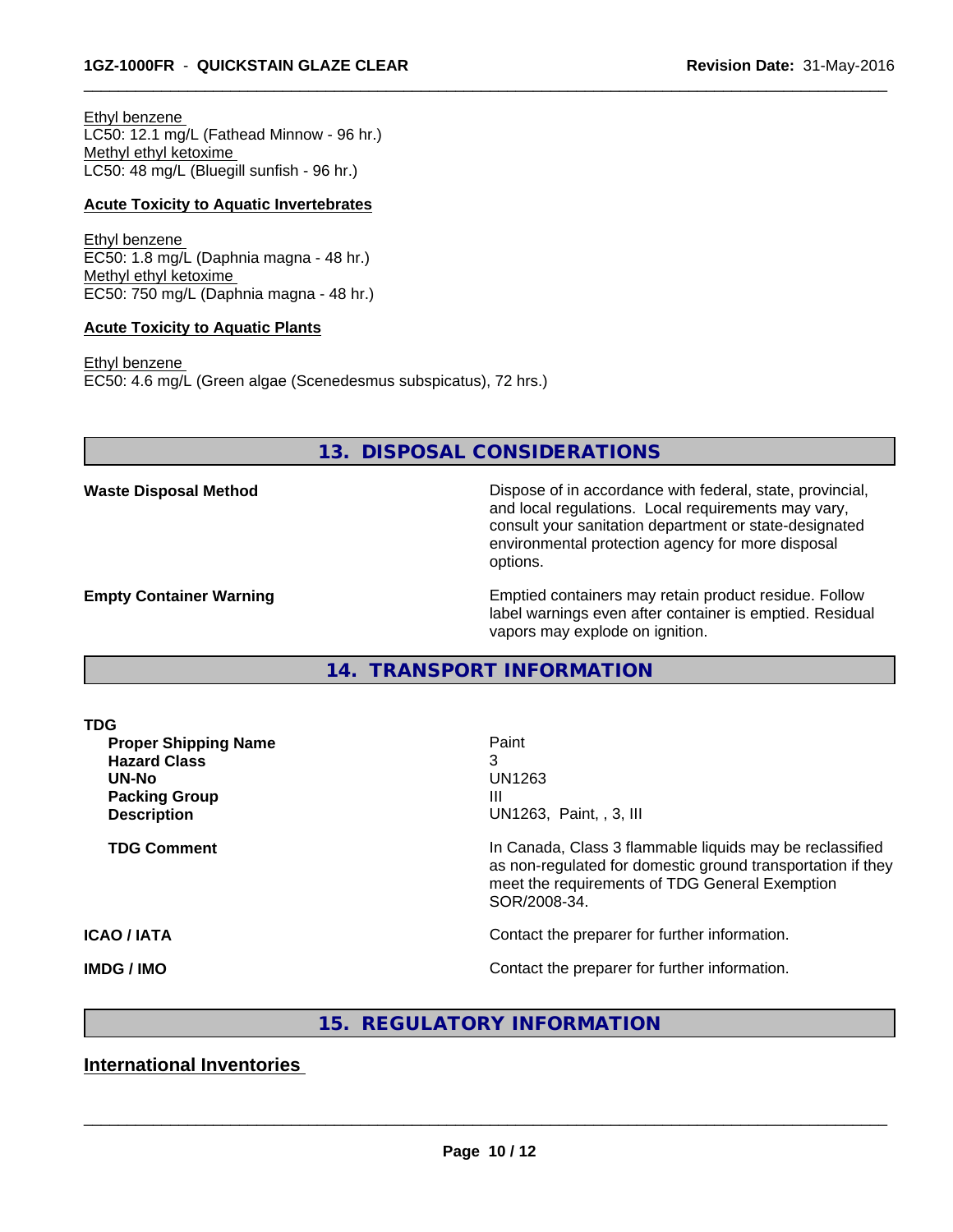Ethyl benzene LC50: 12.1 mg/L (Fathead Minnow - 96 hr.) Methyl ethyl ketoxime LC50: 48 mg/L (Bluegill sunfish - 96 hr.)

#### **Acute Toxicity to Aquatic Invertebrates**

Ethyl benzene EC50: 1.8 mg/L (Daphnia magna - 48 hr.) Methyl ethyl ketoxime EC50: 750 mg/L (Daphnia magna - 48 hr.)

#### **Acute Toxicity to Aquatic Plants**

Ethyl benzene EC50: 4.6 mg/L (Green algae (Scenedesmus subspicatus), 72 hrs.)

# **13. DISPOSAL CONSIDERATIONS**

 $\overline{\phantom{a}}$  ,  $\overline{\phantom{a}}$  ,  $\overline{\phantom{a}}$  ,  $\overline{\phantom{a}}$  ,  $\overline{\phantom{a}}$  ,  $\overline{\phantom{a}}$  ,  $\overline{\phantom{a}}$  ,  $\overline{\phantom{a}}$  ,  $\overline{\phantom{a}}$  ,  $\overline{\phantom{a}}$  ,  $\overline{\phantom{a}}$  ,  $\overline{\phantom{a}}$  ,  $\overline{\phantom{a}}$  ,  $\overline{\phantom{a}}$  ,  $\overline{\phantom{a}}$  ,  $\overline{\phantom{a}}$ 

**Waste Disposal Method Dispose of in accordance with federal, state, provincial,** and local regulations. Local requirements may vary, consult your sanitation department or state-designated environmental protection agency for more disposal options.

**Empty Container Warning <b>Emptied** Containers may retain product residue. Follow label warnings even after container is emptied. Residual vapors may explode on ignition.

**14. TRANSPORT INFORMATION**

| <b>TDG</b>                  |                                                                                                                                                                                           |  |  |
|-----------------------------|-------------------------------------------------------------------------------------------------------------------------------------------------------------------------------------------|--|--|
| <b>Proper Shipping Name</b> | Paint                                                                                                                                                                                     |  |  |
| <b>Hazard Class</b>         |                                                                                                                                                                                           |  |  |
| UN-No                       | UN1263                                                                                                                                                                                    |  |  |
| <b>Packing Group</b>        | Ш                                                                                                                                                                                         |  |  |
| <b>Description</b>          | UN1263, Paint, , 3, III                                                                                                                                                                   |  |  |
| <b>TDG Comment</b>          | In Canada, Class 3 flammable liquids may be reclassified<br>as non-regulated for domestic ground transportation if they<br>meet the requirements of TDG General Exemption<br>SOR/2008-34. |  |  |
| <b>ICAO/IATA</b>            | Contact the preparer for further information.                                                                                                                                             |  |  |
| <b>IMDG / IMO</b>           | Contact the preparer for further information.                                                                                                                                             |  |  |

# **15. REGULATORY INFORMATION**

# **International Inventories**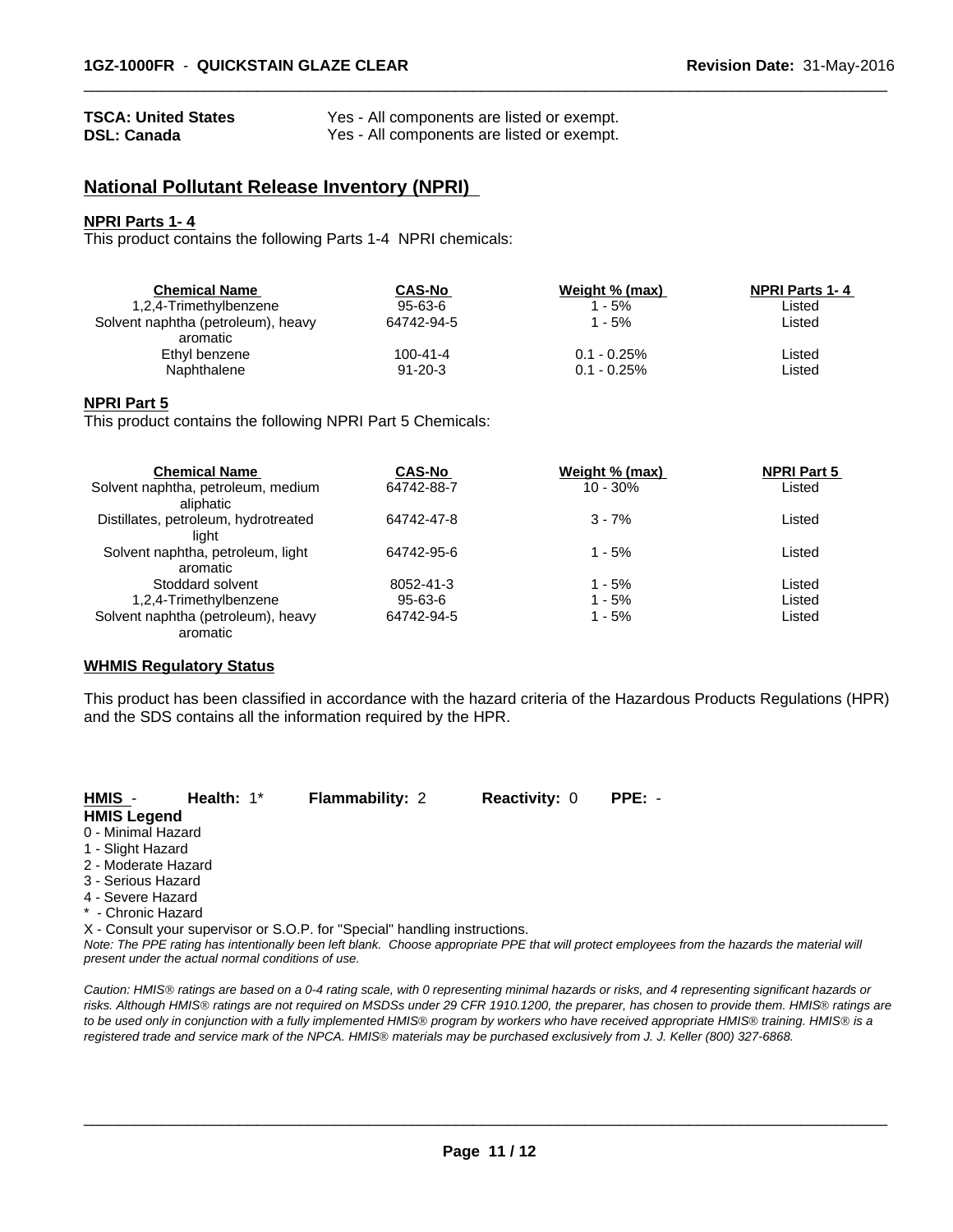#### **TSCA: United States** Yes - All components are listed or exempt. **DSL: Canada** Yes - All components are listed or exempt.

# **National Pollutant Release Inventory (NPRI)**

#### **NPRI Parts 1- 4**

This product contains the following Parts 1-4 NPRI chemicals:

| <b>Chemical Name</b>               | <b>CAS-No</b> | Weight % (max) | <b>NPRI Parts 1-4</b> |  |
|------------------------------------|---------------|----------------|-----------------------|--|
| 1,2,4-Trimethylbenzene             | $95 - 63 - 6$ | $1 - 5\%$      | Listed                |  |
| Solvent naphtha (petroleum), heavy | 64742-94-5    | 1 - 5%         | Listed                |  |
| aromatic<br>Ethyl benzene          | 100-41-4      | $0.1 - 0.25\%$ | Listed                |  |
| Naphthalene                        | $91 - 20 - 3$ | $0.1 - 0.25\%$ | Listed                |  |
|                                    |               |                |                       |  |

 $\overline{\phantom{a}}$  ,  $\overline{\phantom{a}}$  ,  $\overline{\phantom{a}}$  ,  $\overline{\phantom{a}}$  ,  $\overline{\phantom{a}}$  ,  $\overline{\phantom{a}}$  ,  $\overline{\phantom{a}}$  ,  $\overline{\phantom{a}}$  ,  $\overline{\phantom{a}}$  ,  $\overline{\phantom{a}}$  ,  $\overline{\phantom{a}}$  ,  $\overline{\phantom{a}}$  ,  $\overline{\phantom{a}}$  ,  $\overline{\phantom{a}}$  ,  $\overline{\phantom{a}}$  ,  $\overline{\phantom{a}}$ 

#### **NPRI Part 5**

This product contains the following NPRI Part 5 Chemicals:

| <b>Chemical Name</b>                 | <b>CAS-No</b> | Weight % (max) | <b>NPRI Part 5</b> |  |
|--------------------------------------|---------------|----------------|--------------------|--|
| Solvent naphtha, petroleum, medium   | 64742-88-7    | $10 - 30%$     | Listed             |  |
| aliphatic                            |               |                |                    |  |
| Distillates, petroleum, hydrotreated | 64742-47-8    | $3 - 7%$       | Listed             |  |
| liaht                                |               |                |                    |  |
| Solvent naphtha, petroleum, light    | 64742-95-6    | $1 - 5%$       | Listed             |  |
| aromatic                             |               |                |                    |  |
| Stoddard solvent                     | 8052-41-3     | 1 - 5%         | Listed             |  |
| 1,2,4-Trimethylbenzene               | 95-63-6       | 1 - 5%         | Listed             |  |
| Solvent naphtha (petroleum), heavy   | 64742-94-5    | 1 - 5%         | Listed             |  |
| aromatic                             |               |                |                    |  |

#### **WHMIS Regulatory Status**

This product has been classified in accordance with the hazard criteria of the Hazardous Products Regulations (HPR) and the SDS contains all the information required by the HPR.

| HMIS -              | Health: $1^*$ | <b>Flammability: 2</b>                                                     | <b>Reactivity: 0</b> | $PPE: -$ |  |
|---------------------|---------------|----------------------------------------------------------------------------|----------------------|----------|--|
| <b>HMIS Legend</b>  |               |                                                                            |                      |          |  |
| 0 - Minimal Hazard  |               |                                                                            |                      |          |  |
| 1 - Slight Hazard   |               |                                                                            |                      |          |  |
| 2 - Moderate Hazard |               |                                                                            |                      |          |  |
| 3 - Serious Hazard  |               |                                                                            |                      |          |  |
| 4 - Severe Hazard   |               |                                                                            |                      |          |  |
| * - Chronic Hazard  |               |                                                                            |                      |          |  |
|                     |               | X - Consult your supervisor or S.O.P. for "Special" handling instructions. |                      |          |  |

*Note: The PPE rating has intentionally been left blank. Choose appropriate PPE that will protect employees from the hazards the material will present under the actual normal conditions of use.*

*Caution: HMISÒ ratings are based on a 0-4 rating scale, with 0 representing minimal hazards or risks, and 4 representing significant hazards or risks. Although HMISÒ ratings are not required on MSDSs under 29 CFR 1910.1200, the preparer, has chosen to provide them. HMISÒ ratings are to be used only in conjunction with a fully implemented HMISÒ program by workers who have received appropriate HMISÒ training. HMISÒ is a registered trade and service mark of the NPCA. HMISÒ materials may be purchased exclusively from J. J. Keller (800) 327-6868.*